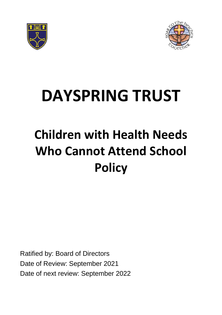



# **DAYSPRING TRUST**

# **Children with Health Needs Who Cannot Attend School Policy**

Ratified by: Board of Directors Date of Review: September 2021 Date of next review: September 2022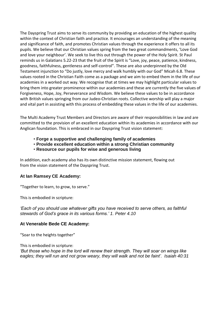The Dayspring Trust aims to serve its community by providing an education of the highest quality within the context of Christian faith and practice. It encourages an understanding of the meaning and significance of faith, and promotes Christian values through the experience it offers to all its pupils. We believe that our Christian values spring from the two great commandments, 'Love God and love your neighbour'. We seek to live this out through the power of the Holy Spirit. St Paul reminds us in Galatians 5.22-23 that the fruit of the Spirit is "Love, joy, peace, patience, kindness, goodness, faithfulness, gentleness and self-control". These are also underpinned by the Old Testament injunction to "Do justly, love mercy and walk humbly with our God" Micah 6.8. These values rooted in the Christian Faith come as a package and we aim to embed them in the life of our academies in a worked out way. We recognise that at times we may highlight particular values to bring them into greater prominence within our academies and these are currently the five values of Forgiveness, Hope, Joy, Perseverance and Wisdom. We believe these values to be in accordance with British values springing from our Judeo-Christian roots. Collective worship will play a major and vital part in assisting with this process of embedding these values in the life of our academies.

The Multi Academy Trust Members and Directors are aware of their responsibilities in law and are committed to the provision of an excellent education within its academies in accordance with our Anglican foundation. This is embraced in our Dayspring Trust vision statement:

- **Forge a supportive and challenging family of academies**
- **Provide excellent education within a strong Christian community**
- **Resource our pupils for wise and generous living**

In addition, each academy also has its own distinctive mission statement, flowing out from the vision statement of the Dayspring Trust.

#### **At Ian Ramsey CE Academy:**

"Together to learn, to grow, to serve."

This is embodied in scripture:

*'Each of you should use whatever gifts you have received to serve others, as faithful stewards of God's grace in its various forms.' 1. Peter 4.10*

#### **At Venerable Bede CE Academy:**

"Soar to the heights together"

This is embodied in scripture: *'But those who hope in the lord will renew their strength. They will soar on wings like eagles; they will run and not grow weary, they will walk and not be faint'. Isaiah 40:31*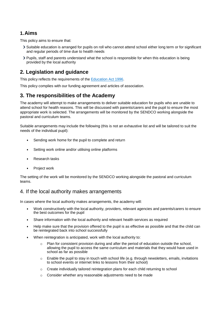### **1.Aims**

This policy aims to ensure that:

- Suitable education is arranged for pupils on roll who cannot attend school either long term or for significant and regular periods of time due to health needs
- Pupils, staff and parents understand what the school is responsible for when this education is being provided by the local authority

## **2. Legislation and guidance**

This policy reflects the requirements of the [Education Act](http://www.legislation.gov.uk/ukpga/1996/56/section/19) 1996.

This policy complies with our funding agreement and articles of association.

### **3. The responsibilities of the Academy**

The academy will attempt to make arrangements to deliver suitable education for pupils who are unable to attend school for health reasons. This will be discussed with parents/carers and the pupil to ensure the most appropriate work is selected. The arrangements will be monitored by the SENDCO working alongside the pastoral and curriculum teams.

Suitable arrangements may include the following (this is not an exhaustive list and will be tailored to suit the needs of the individual pupil):

- Sending work home for the pupil to complete and return
- Setting work online and/or utilising online platforms
- Research tasks
- Project work

The setting of the work will be monitored by the SENDCO working alongside the pastoral and curriculum teams.

#### 4. If the local authority makes arrangements

In cases where the local authority makes arrangements, the academy will:

- Work constructively with the local authority, providers, relevant agencies and parents/carers to ensure the best outcomes for the pupil
- Share information with the local authority and relevant health services as required
- Help make sure that the provision offered to the pupil is as effective as possible and that the child can be reintegrated back into school successfully
- When reintegration is anticipated, work with the local authority to:
	- $\circ$  Plan for consistent provision during and after the period of education outside the school. allowing the pupil to access the same curriculum and materials that they would have used in school as far as possible
	- o Enable the pupil to stay in touch with school life (e.g. through newsletters, emails, invitations to school events or internet links to lessons from their school)
	- o Create individually tailored reintegration plans for each child returning to school
	- o Consider whether any reasonable adjustments need to be made